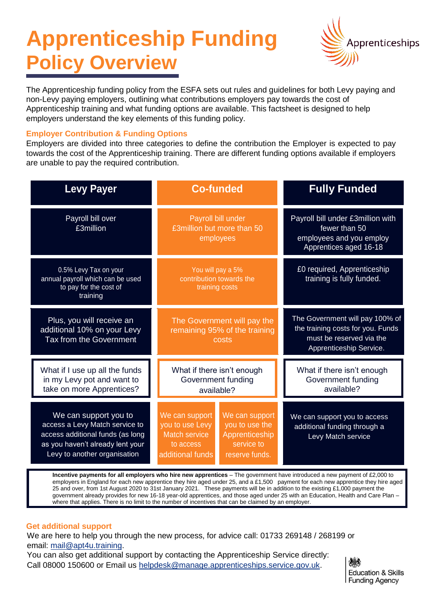# **Apprenticeship Funding Policy Overview**



The Apprenticeship funding policy from the ESFA sets out rules and guidelines for both Levy paying and non-Levy paying employers, outlining what contributions employers pay towards the cost of Apprenticeship training and what funding options are available. This factsheet is designed to help employers understand the key elements of this funding policy.

## **Employer Contribution & Funding Options**

Employers are divided into three categories to define the contribution the Employer is expected to pay towards the cost of the Apprenticeship training. There are different funding options available if employers are unable to pay the required contribution.

| <b>Levy Payer</b>                                                                                                                                               | <b>Co-funded</b>                                                                           |                                                                                    | <b>Fully Funded</b>                                                                                                         |
|-----------------------------------------------------------------------------------------------------------------------------------------------------------------|--------------------------------------------------------------------------------------------|------------------------------------------------------------------------------------|-----------------------------------------------------------------------------------------------------------------------------|
| Payroll bill over<br>£3million                                                                                                                                  | Payroll bill under<br>£3million but more than 50<br>employees                              |                                                                                    | Payroll bill under £3million with<br>fewer than 50<br>employees and you employ<br>Apprentices aged 16-18                    |
| 0.5% Levy Tax on your<br>annual payroll which can be used<br>to pay for the cost of<br>training                                                                 | You will pay a 5%<br>contribution towards the<br>training costs                            |                                                                                    | £0 required, Apprenticeship<br>training is fully funded.                                                                    |
| Plus, you will receive an<br>additional 10% on your Levy<br>Tax from the Government                                                                             | The Government will pay the<br>remaining 95% of the training<br>costs                      |                                                                                    | The Government will pay 100% of<br>the training costs for you. Funds<br>must be reserved via the<br>Apprenticeship Service. |
| What if I use up all the funds<br>in my Levy pot and want to<br>take on more Apprentices?                                                                       | What if there isn't enough<br>Government funding<br>available?                             |                                                                                    | What if there isn't enough<br>Government funding<br>available?                                                              |
| We can support you to<br>access a Levy Match service to<br>access additional funds (as long<br>as you haven't already lent your<br>Levy to another organisation | We can support<br>you to use Levy<br><b>Match service</b><br>to access<br>additional funds | We can support<br>you to use the<br>Apprenticeship<br>service to<br>reserve funds. | We can support you to access<br>additional funding through a<br>Levy Match service                                          |

**Incentive payments for all employers who hire new apprentices** – The government have introduced a new payment of £2,000 to employers in England for each new apprentice they hire aged under 25, and a £1,500 payment for each new apprentice they hire aged 25 and over, from 1st August 2020 to 31st January 2021. These payments will be in addition to the existing £1,000 payment the government already provides for new 16-18 year-old apprentices, and those aged under 25 with an Education, Health and Care Plan – where that applies. There is no limit to the number of incentives that can be claimed by an employer.

### **Get additional support**

We are here to help you through the new process, for advice call: 01733 269148 / 268199 or email: mail@apt4u.training.

You can also get additional support by contacting the Apprenticeship Service directly: Call 08000 150600 or Email us helpdesk@manage.apprenticeships.service.gov.uk.

機 **Education & Skills Funding Agency**